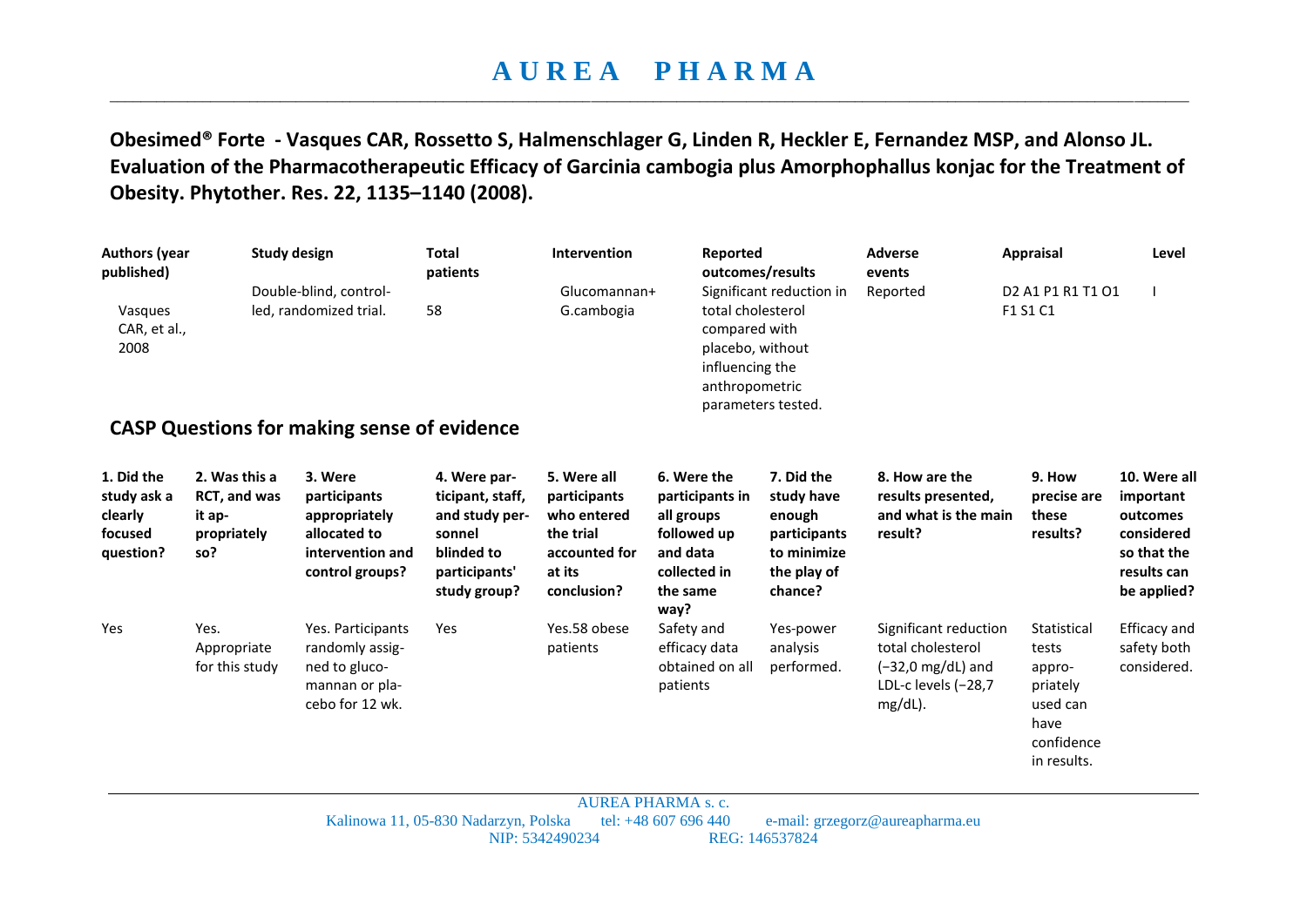## **A U R E A P H A R M A**  \_\_\_\_\_\_\_\_\_\_\_\_\_\_\_\_\_\_\_\_\_\_\_\_\_\_\_\_\_\_\_\_\_\_\_\_\_\_\_\_\_\_\_\_\_\_\_\_\_\_\_\_\_\_\_\_\_\_\_\_\_\_\_\_\_\_\_\_\_\_\_\_\_\_\_\_\_\_\_\_\_\_\_\_\_\_\_\_\_\_\_\_\_\_\_\_\_\_\_\_\_\_\_\_\_\_\_\_\_\_\_\_\_\_\_\_\_\_\_\_\_\_\_\_\_\_\_\_\_\_\_\_\_\_\_\_\_\_\_

**Obesimed® Forte - Vasques CAR, Rossetto S, Halmenschlager G, Linden R, Heckler E, Fernandez MSP, and Alonso JL. Evaluation of the Pharmacotherapeutic Efficacy of Garcinia cambogia plus Amorphophallus konjac for the Treatment of Obesity. Phytother. Res. 22, 1135–1140 (2008).** 

| <b>Authors (year</b><br>published)<br>Vasques                |                                                               | Study design<br>Double-blind, control-<br>led, randomized trial.                                | <b>Total</b><br>patients<br>58                                                                              | Intervention<br>Glucomannan+<br>G.cambogia                                                        | Reported<br>total cholesterol                                                                               | outcomes/results<br>Significant reduction in                                                | <b>Adverse</b><br>events<br>Reported                                                                           | <b>Appraisal</b><br>D <sub>2</sub> A <sub>1</sub> P <sub>1</sub> R <sub>1</sub> T <sub>1</sub> O <sub>1</sub><br>F1 S1 C1 | Level                                                                                            |
|--------------------------------------------------------------|---------------------------------------------------------------|-------------------------------------------------------------------------------------------------|-------------------------------------------------------------------------------------------------------------|---------------------------------------------------------------------------------------------------|-------------------------------------------------------------------------------------------------------------|---------------------------------------------------------------------------------------------|----------------------------------------------------------------------------------------------------------------|---------------------------------------------------------------------------------------------------------------------------|--------------------------------------------------------------------------------------------------|
| CAR, et al.,<br>2008                                         |                                                               |                                                                                                 |                                                                                                             |                                                                                                   | compared with<br>placebo, without<br>influencing the<br>anthropometric                                      | parameters tested.                                                                          |                                                                                                                |                                                                                                                           |                                                                                                  |
|                                                              |                                                               | <b>CASP Questions for making sense of evidence</b>                                              |                                                                                                             |                                                                                                   |                                                                                                             |                                                                                             |                                                                                                                |                                                                                                                           |                                                                                                  |
| 1. Did the<br>study ask a<br>clearly<br>focused<br>question? | 2. Was this a<br>RCT, and was<br>it ap-<br>propriately<br>so? | 3. Were<br>participants<br>appropriately<br>allocated to<br>intervention and<br>control groups? | 4. Were par-<br>ticipant, staff,<br>and study per-<br>sonnel<br>blinded to<br>participants'<br>study group? | 5. Were all<br>participants<br>who entered<br>the trial<br>accounted for<br>at its<br>conclusion? | 6. Were the<br>participants in<br>all groups<br>followed up<br>and data<br>collected in<br>the same<br>way? | 7. Did the<br>study have<br>enough<br>participants<br>to minimize<br>the play of<br>chance? | 8. How are the<br>results presented,<br>and what is the main<br>result?                                        | 9. How<br>precise are<br>these<br>results?                                                                                | 10. Were all<br>important<br>outcomes<br>considered<br>so that the<br>results can<br>be applied? |
| Yes                                                          | Yes.<br>Appropriate<br>for this study                         | Yes. Participants<br>randomly assig-<br>ned to gluco-<br>mannan or pla-<br>cebo for 12 wk.      | Yes                                                                                                         | Yes.58 obese<br>patients                                                                          | Safety and<br>efficacy data<br>obtained on all<br>patients                                                  | Yes-power<br>analysis<br>performed.                                                         | Significant reduction<br>total cholesterol<br>$(-32,0 \text{ mg/dL})$ and<br>LDL-c levels $(-28,7)$<br>mg/dL). | Statistical<br>tests<br>appro-<br>priately<br>used can<br>have<br>confidence<br>in results.                               | Efficacy and<br>safety both<br>considered.                                                       |

AUREA PHARMA s. c. Kalinowa 11, 05-830 Nadarzyn, Polska tel: +48 607 696 440 e-mail: [grzegorz@aureapharma.eu](mailto:grzegorz@aureapharma.eu) NIP: 5342490234 REG: 146537824